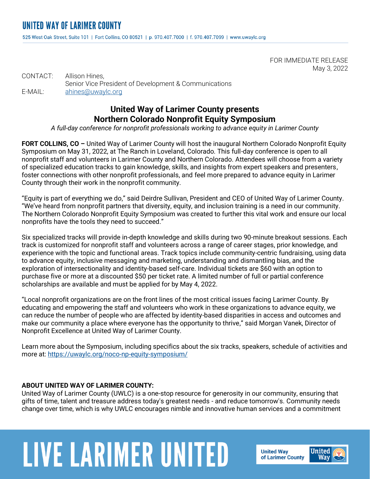525 West Oak Street, Suite 101 | Fort Collins, CO 80521 | p. 970.407.7000 | f. 970.407.7099 | www.uwaylc.org

FOR IMMEDIATE RELEASE May 3, 2022

CONTACT: Allison Hines, Senior Vice President of Development & Communications E-MAIL: [ahines@uwaylc.org](mailto:ahines@uwaylc.org)

## **United Way of Larimer County presents Northern Colorado Nonprofit Equity Symposium**

*A full-day conference for nonprofit professionals working to advance equity in Larimer County*

**FORT COLLINS, CO –** United Way of Larimer County will host the inaugural Northern Colorado Nonprofit Equity Symposium on May 31, 2022, at The Ranch in Loveland, Colorado. This full-day conference is open to all nonprofit staff and volunteers in Larimer County and Northern Colorado. Attendees will choose from a variety of specialized education tracks to gain knowledge, skills, and insights from expert speakers and presenters, foster connections with other nonprofit professionals, and feel more prepared to advance equity in Larimer County through their work in the nonprofit community.

"Equity is part of everything we do," said Deirdre Sullivan, President and CEO of United Way of Larimer County. "We've heard from nonprofit partners that diversity, equity, and inclusion training is a need in our community. The Northern Colorado Nonprofit Equity Symposium was created to further this vital work and ensure our local nonprofits have the tools they need to succeed."

Six specialized tracks will provide in-depth knowledge and skills during two 90-minute breakout sessions. Each track is customized for nonprofit staff and volunteers across a range of career stages, prior knowledge, and experience with the topic and functional areas. Track topics include community-centric fundraising, using data to advance equity, inclusive messaging and marketing, understanding and dismantling bias, and the exploration of intersectionality and identity-based self-care. Individual tickets are \$60 with an option to purchase five or more at a discounted \$50 per ticket rate. A limited number of full or partial conference scholarships are available and must be applied for by May 4, 2022.

"Local nonprofit organizations are on the front lines of the most critical issues facing Larimer County. By educating and empowering the staff and volunteers who work in these organizations to advance equity, we can reduce the number of people who are affected by identity-based disparities in access and outcomes and make our community a place where everyone has the opportunity to thrive," said Morgan Vanek, Director of Nonprofit Excellence at United Way of Larimer County.

Learn more about the Symposium, including specifics about the six tracks, speakers, schedule of activities and more at:<https://uwaylc.org/noco-np-equity-symposium/>

## **ABOUT UNITED WAY OF LARIMER COUNTY:**

United Way of Larimer County (UWLC) is a one-stop resource for generosity in our community, ensuring that gifts of time, talent and treasure address today's greatest needs - and reduce tomorrow's. Community needs change over time, which is why UWLC encourages nimble and innovative human services and a commitment

## **LIVE LARIMER UNITED**

**United Way** of Larimer County